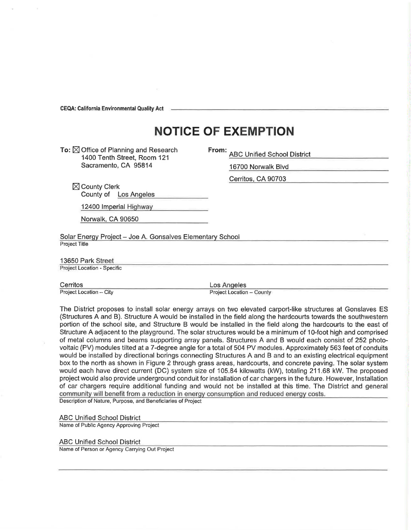**CEQA: California Environmental Quality Act** 

## **NOTICE OF EXEMPTION**

To:  $\boxtimes$  Office of Planning and Research 1400 Tenth Street, Room 121 Sacramento, CA 95814

**From:** ABC Unified School District

16700 Norwalk Blvd Cerritos, CA 90703

 $\boxtimes$  County Clerk County of Los Angeles

12400 Imperial Highway

Norwalk, CA 90650

Solar Energy Project - Joe A. Gonsalves Elementary School Project Title

13650 Park Street

Project Location - Specific

Cerritos Los Angeles<br>Project Location – City Project Location – City Project Location

Project Location - County

The District proposes to install solar energy arrays on two elevated carport-like structures at Gonslaves ES (Structures A and B). Structure A would be installed in the field along the hardcourts towards the southwestern portion of the school site, and Structure B would be installed in the field along the hardcourts to the east of Structure A adjacent to the playground. The solar structures would be a minimum of 10-foot high and comprised of metal columns and beams supporting array panels. Structures A and B would each consist of 252 photovoltaic (PV) modules tilted at a 7-degree angle for a total of 504 PV modules. Approximately 563 feet of conduits would be installed by directional borings connecting Structures A and B and to an existing electrical equipment box to the north as shown in Figure 2 through grass areas, hardcourts, and concrete paving. The solar system would each have direct current (DC) system size of 105.84 kilowatts (kW), totaling 211 .68 kW. The proposed project would also provide underground conduit for installation of car chargers in the future. However, Installation of car chargers require additional funding and would not be installed at this time. The District and general community will benefit from a reduction in energy consumption and reduced energy costs. Description of Nature, Purpose, and Beneficiaries of Project

ABC Unified School District

Name of Public Agency Approving Project

ABC Unified School District Name of Person or Agency Carrying Out Project